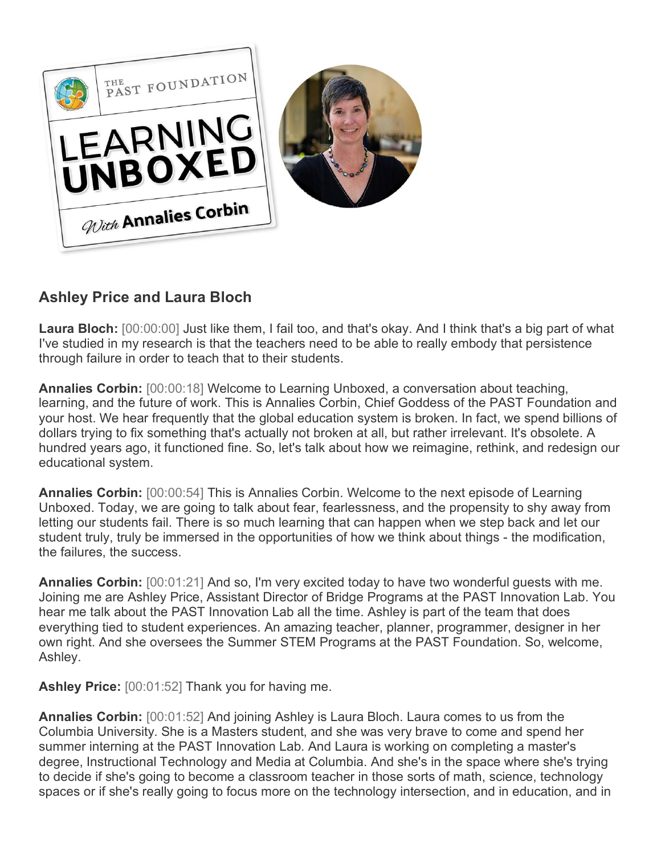

## **Ashley Price and Laura Bloch**

**Laura Bloch:** [00:00:00] Just like them, I fail too, and that's okay. And I think that's a big part of what I've studied in my research is that the teachers need to be able to really embody that persistence through failure in order to teach that to their students.

**Annalies Corbin:** [00:00:18] Welcome to Learning Unboxed, a conversation about teaching, learning, and the future of work. This is Annalies Corbin, Chief Goddess of the PAST Foundation and your host. We hear frequently that the global education system is broken. In fact, we spend billions of dollars trying to fix something that's actually not broken at all, but rather irrelevant. It's obsolete. A hundred years ago, it functioned fine. So, let's talk about how we reimagine, rethink, and redesign our educational system.

**Annalies Corbin:** [00:00:54] This is Annalies Corbin. Welcome to the next episode of Learning Unboxed. Today, we are going to talk about fear, fearlessness, and the propensity to shy away from letting our students fail. There is so much learning that can happen when we step back and let our student truly, truly be immersed in the opportunities of how we think about things - the modification, the failures, the success.

**Annalies Corbin:** [00:01:21] And so, I'm very excited today to have two wonderful guests with me. Joining me are Ashley Price, Assistant Director of Bridge Programs at the PAST Innovation Lab. You hear me talk about the PAST Innovation Lab all the time. Ashley is part of the team that does everything tied to student experiences. An amazing teacher, planner, programmer, designer in her own right. And she oversees the Summer STEM Programs at the PAST Foundation. So, welcome, Ashley.

**Ashley Price:** [00:01:52] Thank you for having me.

**Annalies Corbin:** [00:01:52] And joining Ashley is Laura Bloch. Laura comes to us from the Columbia University. She is a Masters student, and she was very brave to come and spend her summer interning at the PAST Innovation Lab. And Laura is working on completing a master's degree, Instructional Technology and Media at Columbia. And she's in the space where she's trying to decide if she's going to become a classroom teacher in those sorts of math, science, technology spaces or if she's really going to focus more on the technology intersection, and in education, and in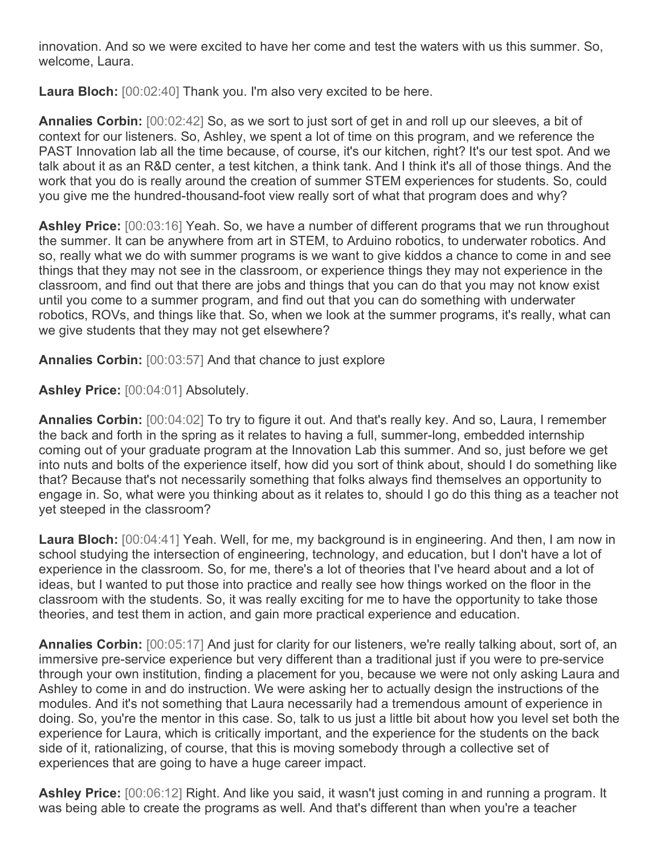innovation. And so we were excited to have her come and test the waters with us this summer. So, welcome, Laura.

**Laura Bloch:** [00:02:40] Thank you. I'm also very excited to be here.

**Annalies Corbin:** [00:02:42] So, as we sort to just sort of get in and roll up our sleeves, a bit of context for our listeners. So, Ashley, we spent a lot of time on this program, and we reference the PAST Innovation lab all the time because, of course, it's our kitchen, right? It's our test spot. And we talk about it as an R&D center, a test kitchen, a think tank. And I think it's all of those things. And the work that you do is really around the creation of summer STEM experiences for students. So, could you give me the hundred-thousand-foot view really sort of what that program does and why?

**Ashley Price:** [00:03:16] Yeah. So, we have a number of different programs that we run throughout the summer. It can be anywhere from art in STEM, to Arduino robotics, to underwater robotics. And so, really what we do with summer programs is we want to give kiddos a chance to come in and see things that they may not see in the classroom, or experience things they may not experience in the classroom, and find out that there are jobs and things that you can do that you may not know exist until you come to a summer program, and find out that you can do something with underwater robotics, ROVs, and things like that. So, when we look at the summer programs, it's really, what can we give students that they may not get elsewhere?

**Annalies Corbin:** [00:03:57] And that chance to just explore

**Ashley Price:** [00:04:01] Absolutely.

**Annalies Corbin:** [00:04:02] To try to figure it out. And that's really key. And so, Laura, I remember the back and forth in the spring as it relates to having a full, summer-long, embedded internship coming out of your graduate program at the Innovation Lab this summer. And so, just before we get into nuts and bolts of the experience itself, how did you sort of think about, should I do something like that? Because that's not necessarily something that folks always find themselves an opportunity to engage in. So, what were you thinking about as it relates to, should I go do this thing as a teacher not yet steeped in the classroom?

**Laura Bloch:** [00:04:41] Yeah. Well, for me, my background is in engineering. And then, I am now in school studying the intersection of engineering, technology, and education, but I don't have a lot of experience in the classroom. So, for me, there's a lot of theories that I've heard about and a lot of ideas, but I wanted to put those into practice and really see how things worked on the floor in the classroom with the students. So, it was really exciting for me to have the opportunity to take those theories, and test them in action, and gain more practical experience and education.

**Annalies Corbin:** [00:05:17] And just for clarity for our listeners, we're really talking about, sort of, an immersive pre-service experience but very different than a traditional just if you were to pre-service through your own institution, finding a placement for you, because we were not only asking Laura and Ashley to come in and do instruction. We were asking her to actually design the instructions of the modules. And it's not something that Laura necessarily had a tremendous amount of experience in doing. So, you're the mentor in this case. So, talk to us just a little bit about how you level set both the experience for Laura, which is critically important, and the experience for the students on the back side of it, rationalizing, of course, that this is moving somebody through a collective set of experiences that are going to have a huge career impact.

**Ashley Price:** [00:06:12] Right. And like you said, it wasn't just coming in and running a program. It was being able to create the programs as well. And that's different than when you're a teacher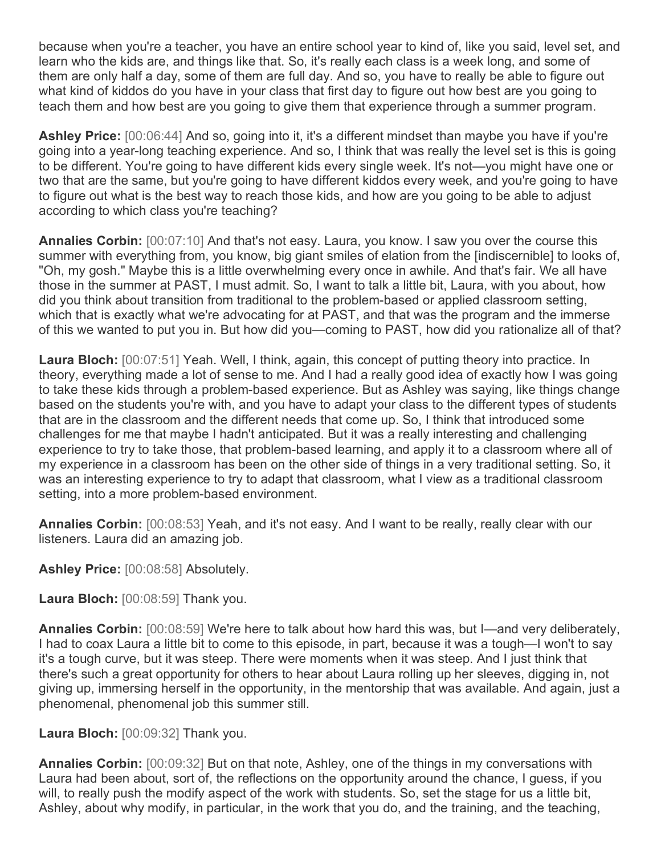because when you're a teacher, you have an entire school year to kind of, like you said, level set, and learn who the kids are, and things like that. So, it's really each class is a week long, and some of them are only half a day, some of them are full day. And so, you have to really be able to figure out what kind of kiddos do you have in your class that first day to figure out how best are you going to teach them and how best are you going to give them that experience through a summer program.

**Ashley Price:** [00:06:44] And so, going into it, it's a different mindset than maybe you have if you're going into a year-long teaching experience. And so, I think that was really the level set is this is going to be different. You're going to have different kids every single week. It's not—you might have one or two that are the same, but you're going to have different kiddos every week, and you're going to have to figure out what is the best way to reach those kids, and how are you going to be able to adjust according to which class you're teaching?

**Annalies Corbin:** [00:07:10] And that's not easy. Laura, you know. I saw you over the course this summer with everything from, you know, big giant smiles of elation from the [indiscernible] to looks of, "Oh, my gosh." Maybe this is a little overwhelming every once in awhile. And that's fair. We all have those in the summer at PAST, I must admit. So, I want to talk a little bit, Laura, with you about, how did you think about transition from traditional to the problem-based or applied classroom setting, which that is exactly what we're advocating for at PAST, and that was the program and the immerse of this we wanted to put you in. But how did you—coming to PAST, how did you rationalize all of that?

**Laura Bloch:** [00:07:51] Yeah. Well, I think, again, this concept of putting theory into practice. In theory, everything made a lot of sense to me. And I had a really good idea of exactly how I was going to take these kids through a problem-based experience. But as Ashley was saying, like things change based on the students you're with, and you have to adapt your class to the different types of students that are in the classroom and the different needs that come up. So, I think that introduced some challenges for me that maybe I hadn't anticipated. But it was a really interesting and challenging experience to try to take those, that problem-based learning, and apply it to a classroom where all of my experience in a classroom has been on the other side of things in a very traditional setting. So, it was an interesting experience to try to adapt that classroom, what I view as a traditional classroom setting, into a more problem-based environment.

**Annalies Corbin:** [00:08:53] Yeah, and it's not easy. And I want to be really, really clear with our listeners. Laura did an amazing job.

**Ashley Price:** [00:08:58] Absolutely.

**Laura Bloch:** [00:08:59] Thank you.

**Annalies Corbin:** [00:08:59] We're here to talk about how hard this was, but I—and very deliberately, I had to coax Laura a little bit to come to this episode, in part, because it was a tough—I won't to say it's a tough curve, but it was steep. There were moments when it was steep. And I just think that there's such a great opportunity for others to hear about Laura rolling up her sleeves, digging in, not giving up, immersing herself in the opportunity, in the mentorship that was available. And again, just a phenomenal, phenomenal job this summer still.

**Laura Bloch:** [00:09:32] Thank you.

**Annalies Corbin:** [00:09:32] But on that note, Ashley, one of the things in my conversations with Laura had been about, sort of, the reflections on the opportunity around the chance, I guess, if you will, to really push the modify aspect of the work with students. So, set the stage for us a little bit, Ashley, about why modify, in particular, in the work that you do, and the training, and the teaching,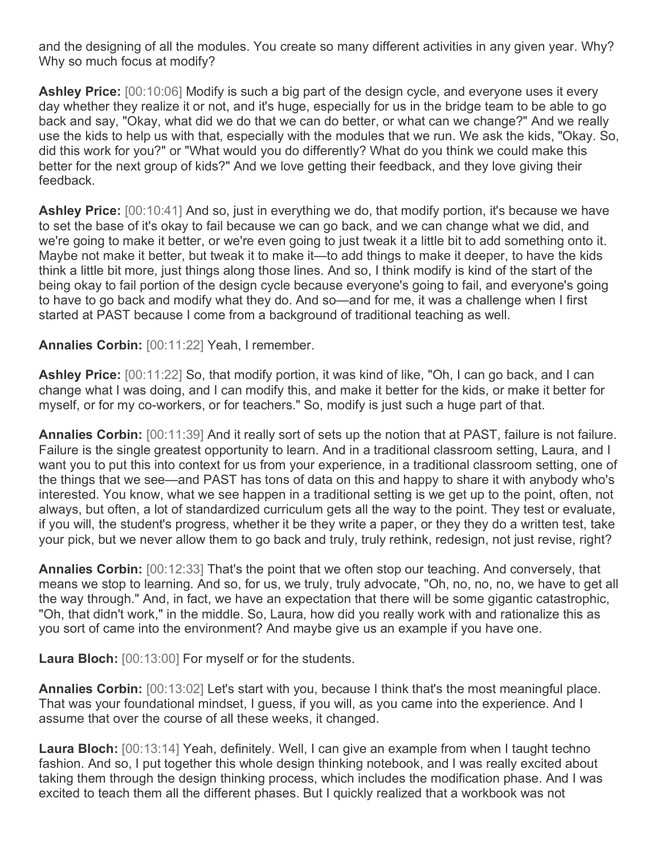and the designing of all the modules. You create so many different activities in any given year. Why? Why so much focus at modify?

**Ashley Price:** [00:10:06] Modify is such a big part of the design cycle, and everyone uses it every day whether they realize it or not, and it's huge, especially for us in the bridge team to be able to go back and say, "Okay, what did we do that we can do better, or what can we change?" And we really use the kids to help us with that, especially with the modules that we run. We ask the kids, "Okay. So, did this work for you?" or "What would you do differently? What do you think we could make this better for the next group of kids?" And we love getting their feedback, and they love giving their feedback.

**Ashley Price:** [00:10:41] And so, just in everything we do, that modify portion, it's because we have to set the base of it's okay to fail because we can go back, and we can change what we did, and we're going to make it better, or we're even going to just tweak it a little bit to add something onto it. Maybe not make it better, but tweak it to make it—to add things to make it deeper, to have the kids think a little bit more, just things along those lines. And so, I think modify is kind of the start of the being okay to fail portion of the design cycle because everyone's going to fail, and everyone's going to have to go back and modify what they do. And so—and for me, it was a challenge when I first started at PAST because I come from a background of traditional teaching as well.

**Annalies Corbin:** [00:11:22] Yeah, I remember.

**Ashley Price:** [00:11:22] So, that modify portion, it was kind of like, "Oh, I can go back, and I can change what I was doing, and I can modify this, and make it better for the kids, or make it better for myself, or for my co-workers, or for teachers." So, modify is just such a huge part of that.

**Annalies Corbin:** [00:11:39] And it really sort of sets up the notion that at PAST, failure is not failure. Failure is the single greatest opportunity to learn. And in a traditional classroom setting, Laura, and I want you to put this into context for us from your experience, in a traditional classroom setting, one of the things that we see—and PAST has tons of data on this and happy to share it with anybody who's interested. You know, what we see happen in a traditional setting is we get up to the point, often, not always, but often, a lot of standardized curriculum gets all the way to the point. They test or evaluate, if you will, the student's progress, whether it be they write a paper, or they they do a written test, take your pick, but we never allow them to go back and truly, truly rethink, redesign, not just revise, right?

**Annalies Corbin:** [00:12:33] That's the point that we often stop our teaching. And conversely, that means we stop to learning. And so, for us, we truly, truly advocate, "Oh, no, no, no, we have to get all the way through." And, in fact, we have an expectation that there will be some gigantic catastrophic, "Oh, that didn't work," in the middle. So, Laura, how did you really work with and rationalize this as you sort of came into the environment? And maybe give us an example if you have one.

**Laura Bloch:** [00:13:00] For myself or for the students.

**Annalies Corbin:** [00:13:02] Let's start with you, because I think that's the most meaningful place. That was your foundational mindset, I guess, if you will, as you came into the experience. And I assume that over the course of all these weeks, it changed.

**Laura Bloch:** [00:13:14] Yeah, definitely. Well, I can give an example from when I taught techno fashion. And so, I put together this whole design thinking notebook, and I was really excited about taking them through the design thinking process, which includes the modification phase. And I was excited to teach them all the different phases. But I quickly realized that a workbook was not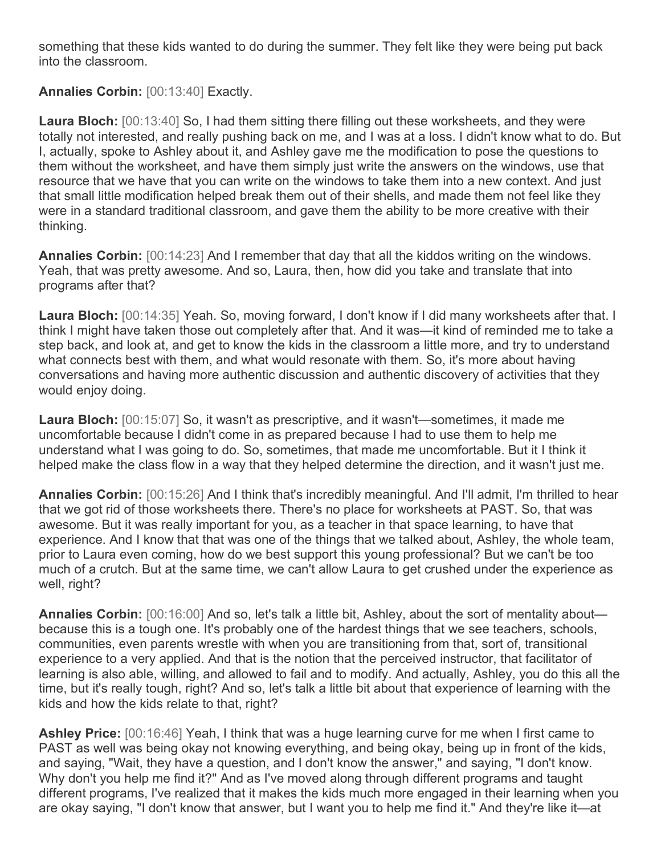something that these kids wanted to do during the summer. They felt like they were being put back into the classroom.

**Annalies Corbin:** [00:13:40] Exactly.

**Laura Bloch:** [00:13:40] So, I had them sitting there filling out these worksheets, and they were totally not interested, and really pushing back on me, and I was at a loss. I didn't know what to do. But I, actually, spoke to Ashley about it, and Ashley gave me the modification to pose the questions to them without the worksheet, and have them simply just write the answers on the windows, use that resource that we have that you can write on the windows to take them into a new context. And just that small little modification helped break them out of their shells, and made them not feel like they were in a standard traditional classroom, and gave them the ability to be more creative with their thinking.

**Annalies Corbin:** [00:14:23] And I remember that day that all the kiddos writing on the windows. Yeah, that was pretty awesome. And so, Laura, then, how did you take and translate that into programs after that?

**Laura Bloch:** [00:14:35] Yeah. So, moving forward, I don't know if I did many worksheets after that. I think I might have taken those out completely after that. And it was—it kind of reminded me to take a step back, and look at, and get to know the kids in the classroom a little more, and try to understand what connects best with them, and what would resonate with them. So, it's more about having conversations and having more authentic discussion and authentic discovery of activities that they would enjoy doing.

**Laura Bloch:** [00:15:07] So, it wasn't as prescriptive, and it wasn't—sometimes, it made me uncomfortable because I didn't come in as prepared because I had to use them to help me understand what I was going to do. So, sometimes, that made me uncomfortable. But it I think it helped make the class flow in a way that they helped determine the direction, and it wasn't just me.

**Annalies Corbin:** [00:15:26] And I think that's incredibly meaningful. And I'll admit, I'm thrilled to hear that we got rid of those worksheets there. There's no place for worksheets at PAST. So, that was awesome. But it was really important for you, as a teacher in that space learning, to have that experience. And I know that that was one of the things that we talked about, Ashley, the whole team, prior to Laura even coming, how do we best support this young professional? But we can't be too much of a crutch. But at the same time, we can't allow Laura to get crushed under the experience as well, right?

**Annalies Corbin:** [00:16:00] And so, let's talk a little bit, Ashley, about the sort of mentality about because this is a tough one. It's probably one of the hardest things that we see teachers, schools, communities, even parents wrestle with when you are transitioning from that, sort of, transitional experience to a very applied. And that is the notion that the perceived instructor, that facilitator of learning is also able, willing, and allowed to fail and to modify. And actually, Ashley, you do this all the time, but it's really tough, right? And so, let's talk a little bit about that experience of learning with the kids and how the kids relate to that, right?

**Ashley Price:** [00:16:46] Yeah, I think that was a huge learning curve for me when I first came to PAST as well was being okay not knowing everything, and being okay, being up in front of the kids, and saying, "Wait, they have a question, and I don't know the answer," and saying, "I don't know. Why don't you help me find it?" And as I've moved along through different programs and taught different programs, I've realized that it makes the kids much more engaged in their learning when you are okay saying, "I don't know that answer, but I want you to help me find it." And they're like it—at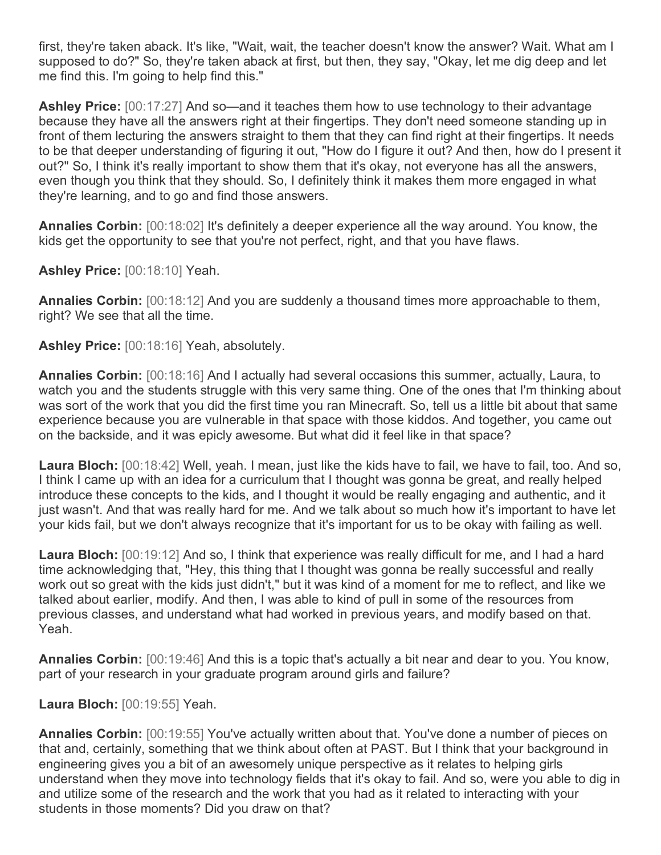first, they're taken aback. It's like, "Wait, wait, the teacher doesn't know the answer? Wait. What am I supposed to do?" So, they're taken aback at first, but then, they say, "Okay, let me dig deep and let me find this. I'm going to help find this."

**Ashley Price:** [00:17:27] And so—and it teaches them how to use technology to their advantage because they have all the answers right at their fingertips. They don't need someone standing up in front of them lecturing the answers straight to them that they can find right at their fingertips. It needs to be that deeper understanding of figuring it out, "How do I figure it out? And then, how do I present it out?" So, I think it's really important to show them that it's okay, not everyone has all the answers, even though you think that they should. So, I definitely think it makes them more engaged in what they're learning, and to go and find those answers.

**Annalies Corbin:** [00:18:02] It's definitely a deeper experience all the way around. You know, the kids get the opportunity to see that you're not perfect, right, and that you have flaws.

**Ashley Price:** [00:18:10] Yeah.

**Annalies Corbin:** [00:18:12] And you are suddenly a thousand times more approachable to them, right? We see that all the time.

**Ashley Price:** [00:18:16] Yeah, absolutely.

**Annalies Corbin:** [00:18:16] And I actually had several occasions this summer, actually, Laura, to watch you and the students struggle with this very same thing. One of the ones that I'm thinking about was sort of the work that you did the first time you ran Minecraft. So, tell us a little bit about that same experience because you are vulnerable in that space with those kiddos. And together, you came out on the backside, and it was epicly awesome. But what did it feel like in that space?

**Laura Bloch:** [00:18:42] Well, yeah. I mean, just like the kids have to fail, we have to fail, too. And so, I think I came up with an idea for a curriculum that I thought was gonna be great, and really helped introduce these concepts to the kids, and I thought it would be really engaging and authentic, and it just wasn't. And that was really hard for me. And we talk about so much how it's important to have let your kids fail, but we don't always recognize that it's important for us to be okay with failing as well.

**Laura Bloch:** [00:19:12] And so, I think that experience was really difficult for me, and I had a hard time acknowledging that, "Hey, this thing that I thought was gonna be really successful and really work out so great with the kids just didn't," but it was kind of a moment for me to reflect, and like we talked about earlier, modify. And then, I was able to kind of pull in some of the resources from previous classes, and understand what had worked in previous years, and modify based on that. Yeah.

**Annalies Corbin:** [00:19:46] And this is a topic that's actually a bit near and dear to you. You know, part of your research in your graduate program around girls and failure?

**Laura Bloch:** [00:19:55] Yeah.

**Annalies Corbin:** [00:19:55] You've actually written about that. You've done a number of pieces on that and, certainly, something that we think about often at PAST. But I think that your background in engineering gives you a bit of an awesomely unique perspective as it relates to helping girls understand when they move into technology fields that it's okay to fail. And so, were you able to dig in and utilize some of the research and the work that you had as it related to interacting with your students in those moments? Did you draw on that?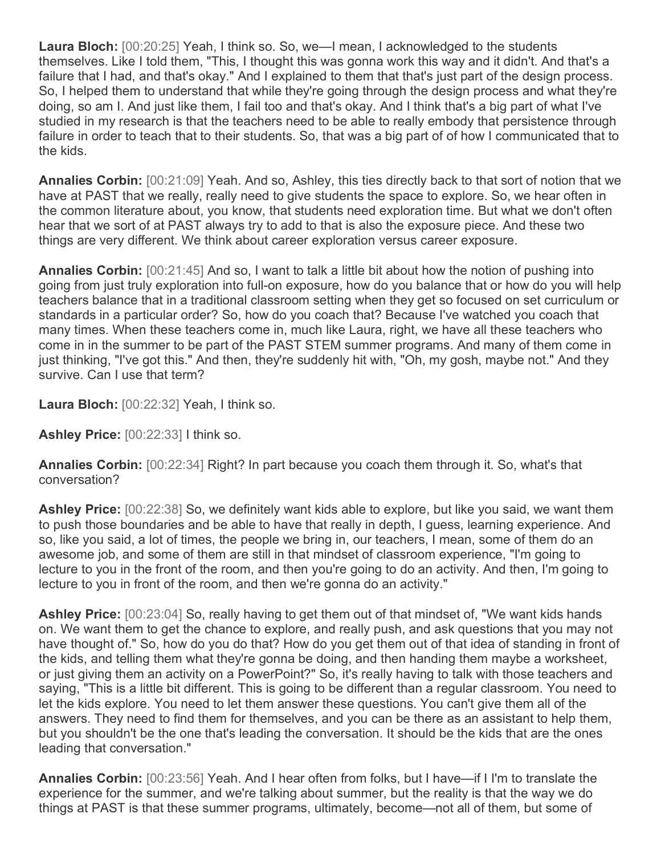**Laura Bloch:** [00:20:25] Yeah, I think so. So, we—I mean, I acknowledged to the students themselves. Like I told them, "This, I thought this was gonna work this way and it didn't. And that's a failure that I had, and that's okay." And I explained to them that that's just part of the design process. So, I helped them to understand that while they're going through the design process and what they're doing, so am I. And just like them, I fail too and that's okay. And I think that's a big part of what I've studied in my research is that the teachers need to be able to really embody that persistence through failure in order to teach that to their students. So, that was a big part of of how I communicated that to the kids.

**Annalies Corbin:** [00:21:09] Yeah. And so, Ashley, this ties directly back to that sort of notion that we have at PAST that we really, really need to give students the space to explore. So, we hear often in the common literature about, you know, that students need exploration time. But what we don't often hear that we sort of at PAST always try to add to that is also the exposure piece. And these two things are very different. We think about career exploration versus career exposure.

**Annalies Corbin:** [00:21:45] And so, I want to talk a little bit about how the notion of pushing into going from just truly exploration into full-on exposure, how do you balance that or how do you will help teachers balance that in a traditional classroom setting when they get so focused on set curriculum or standards in a particular order? So, how do you coach that? Because I've watched you coach that many times. When these teachers come in, much like Laura, right, we have all these teachers who come in in the summer to be part of the PAST STEM summer programs. And many of them come in just thinking, "I've got this." And then, they're suddenly hit with, "Oh, my gosh, maybe not." And they survive. Can I use that term?

**Laura Bloch:** [00:22:32] Yeah, I think so.

**Ashley Price:** [00:22:33] I think so.

**Annalies Corbin:** [00:22:34] Right? In part because you coach them through it. So, what's that conversation?

**Ashley Price:** [00:22:38] So, we definitely want kids able to explore, but like you said, we want them to push those boundaries and be able to have that really in depth, I guess, learning experience. And so, like you said, a lot of times, the people we bring in, our teachers, I mean, some of them do an awesome job, and some of them are still in that mindset of classroom experience, "I'm going to lecture to you in the front of the room, and then you're going to do an activity. And then, I'm going to lecture to you in front of the room, and then we're gonna do an activity."

**Ashley Price:** [00:23:04] So, really having to get them out of that mindset of, "We want kids hands on. We want them to get the chance to explore, and really push, and ask questions that you may not have thought of." So, how do you do that? How do you get them out of that idea of standing in front of the kids, and telling them what they're gonna be doing, and then handing them maybe a worksheet, or just giving them an activity on a PowerPoint?" So, it's really having to talk with those teachers and saying, "This is a little bit different. This is going to be different than a regular classroom. You need to let the kids explore. You need to let them answer these questions. You can't give them all of the answers. They need to find them for themselves, and you can be there as an assistant to help them, but you shouldn't be the one that's leading the conversation. It should be the kids that are the ones leading that conversation."

**Annalies Corbin:** [00:23:56] Yeah. And I hear often from folks, but I have—if I I'm to translate the experience for the summer, and we're talking about summer, but the reality is that the way we do things at PAST is that these summer programs, ultimately, become—not all of them, but some of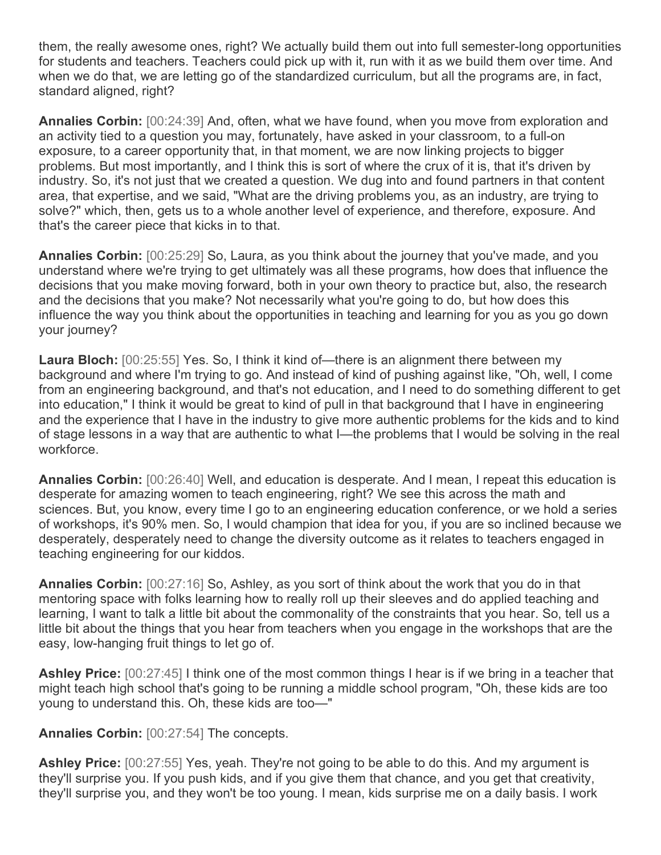them, the really awesome ones, right? We actually build them out into full semester-long opportunities for students and teachers. Teachers could pick up with it, run with it as we build them over time. And when we do that, we are letting go of the standardized curriculum, but all the programs are, in fact, standard aligned, right?

**Annalies Corbin:** [00:24:39] And, often, what we have found, when you move from exploration and an activity tied to a question you may, fortunately, have asked in your classroom, to a full-on exposure, to a career opportunity that, in that moment, we are now linking projects to bigger problems. But most importantly, and I think this is sort of where the crux of it is, that it's driven by industry. So, it's not just that we created a question. We dug into and found partners in that content area, that expertise, and we said, "What are the driving problems you, as an industry, are trying to solve?" which, then, gets us to a whole another level of experience, and therefore, exposure. And that's the career piece that kicks in to that.

**Annalies Corbin:** [00:25:29] So, Laura, as you think about the journey that you've made, and you understand where we're trying to get ultimately was all these programs, how does that influence the decisions that you make moving forward, both in your own theory to practice but, also, the research and the decisions that you make? Not necessarily what you're going to do, but how does this influence the way you think about the opportunities in teaching and learning for you as you go down your journey?

**Laura Bloch:** [00:25:55] Yes. So, I think it kind of—there is an alignment there between my background and where I'm trying to go. And instead of kind of pushing against like, "Oh, well, I come from an engineering background, and that's not education, and I need to do something different to get into education," I think it would be great to kind of pull in that background that I have in engineering and the experience that I have in the industry to give more authentic problems for the kids and to kind of stage lessons in a way that are authentic to what I—the problems that I would be solving in the real workforce.

**Annalies Corbin:** [00:26:40] Well, and education is desperate. And I mean, I repeat this education is desperate for amazing women to teach engineering, right? We see this across the math and sciences. But, you know, every time I go to an engineering education conference, or we hold a series of workshops, it's 90% men. So, I would champion that idea for you, if you are so inclined because we desperately, desperately need to change the diversity outcome as it relates to teachers engaged in teaching engineering for our kiddos.

**Annalies Corbin:** [00:27:16] So, Ashley, as you sort of think about the work that you do in that mentoring space with folks learning how to really roll up their sleeves and do applied teaching and learning, I want to talk a little bit about the commonality of the constraints that you hear. So, tell us a little bit about the things that you hear from teachers when you engage in the workshops that are the easy, low-hanging fruit things to let go of.

**Ashley Price:** [00:27:45] I think one of the most common things I hear is if we bring in a teacher that might teach high school that's going to be running a middle school program, "Oh, these kids are too young to understand this. Oh, these kids are too—"

**Annalies Corbin:** [00:27:54] The concepts.

**Ashley Price:** [00:27:55] Yes, yeah. They're not going to be able to do this. And my argument is they'll surprise you. If you push kids, and if you give them that chance, and you get that creativity, they'll surprise you, and they won't be too young. I mean, kids surprise me on a daily basis. I work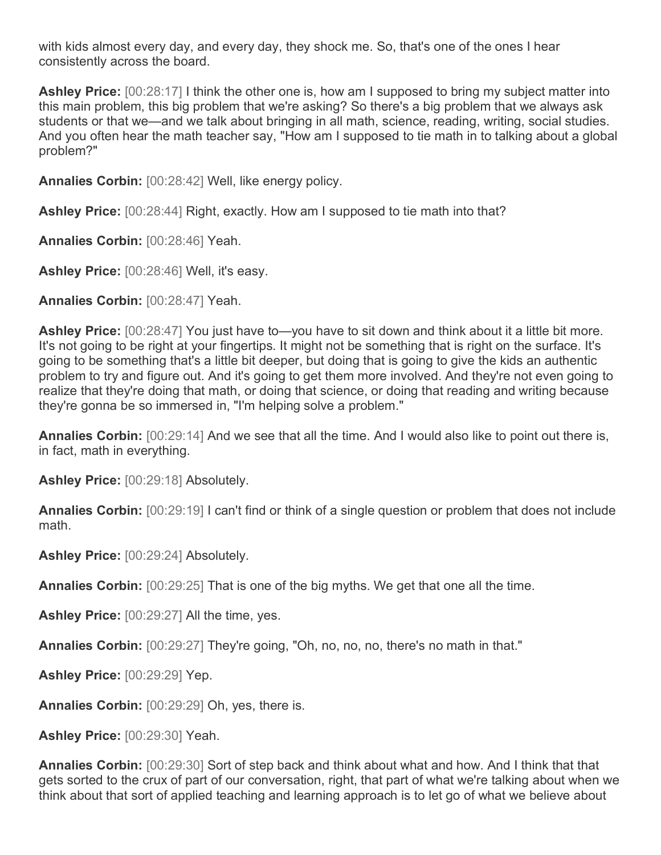with kids almost every day, and every day, they shock me. So, that's one of the ones I hear consistently across the board.

**Ashley Price:** [00:28:17] I think the other one is, how am I supposed to bring my subject matter into this main problem, this big problem that we're asking? So there's a big problem that we always ask students or that we—and we talk about bringing in all math, science, reading, writing, social studies. And you often hear the math teacher say, "How am I supposed to tie math in to talking about a global problem?"

**Annalies Corbin:** [00:28:42] Well, like energy policy.

**Ashley Price:** [00:28:44] Right, exactly. How am I supposed to tie math into that?

**Annalies Corbin:** [00:28:46] Yeah.

**Ashley Price:** [00:28:46] Well, it's easy.

**Annalies Corbin:** [00:28:47] Yeah.

**Ashley Price:** [00:28:47] You just have to—you have to sit down and think about it a little bit more. It's not going to be right at your fingertips. It might not be something that is right on the surface. It's going to be something that's a little bit deeper, but doing that is going to give the kids an authentic problem to try and figure out. And it's going to get them more involved. And they're not even going to realize that they're doing that math, or doing that science, or doing that reading and writing because they're gonna be so immersed in, "I'm helping solve a problem."

**Annalies Corbin:** [00:29:14] And we see that all the time. And I would also like to point out there is, in fact, math in everything.

**Ashley Price:** [00:29:18] Absolutely.

**Annalies Corbin:** [00:29:19] I can't find or think of a single question or problem that does not include math.

**Ashley Price:** [00:29:24] Absolutely.

**Annalies Corbin:** [00:29:25] That is one of the big myths. We get that one all the time.

**Ashley Price:** [00:29:27] All the time, yes.

**Annalies Corbin:** [00:29:27] They're going, "Oh, no, no, no, there's no math in that."

**Ashley Price:** [00:29:29] Yep.

**Annalies Corbin:** [00:29:29] Oh, yes, there is.

**Ashley Price:** [00:29:30] Yeah.

**Annalies Corbin:** [00:29:30] Sort of step back and think about what and how. And I think that that gets sorted to the crux of part of our conversation, right, that part of what we're talking about when we think about that sort of applied teaching and learning approach is to let go of what we believe about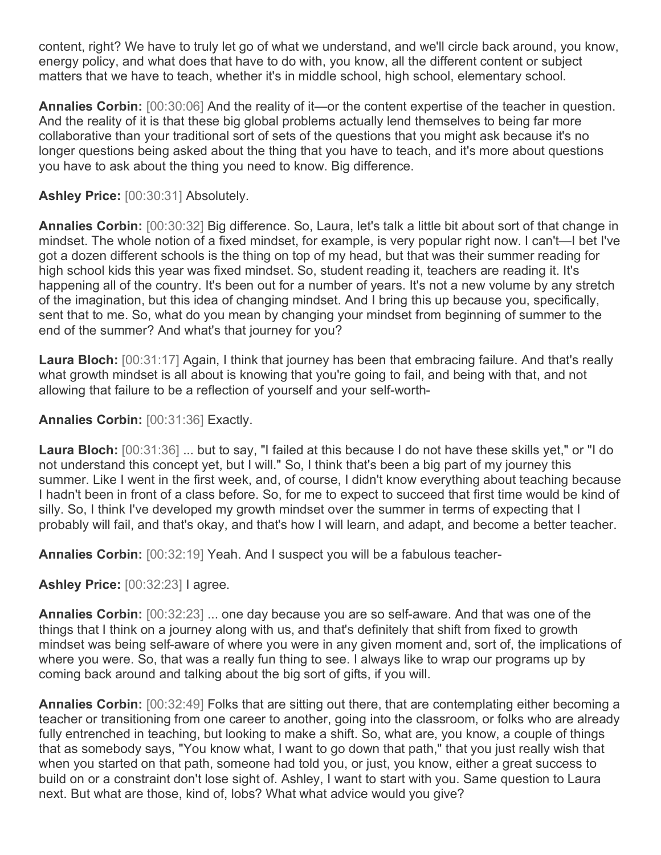content, right? We have to truly let go of what we understand, and we'll circle back around, you know, energy policy, and what does that have to do with, you know, all the different content or subject matters that we have to teach, whether it's in middle school, high school, elementary school.

**Annalies Corbin:** [00:30:06] And the reality of it—or the content expertise of the teacher in question. And the reality of it is that these big global problems actually lend themselves to being far more collaborative than your traditional sort of sets of the questions that you might ask because it's no longer questions being asked about the thing that you have to teach, and it's more about questions you have to ask about the thing you need to know. Big difference.

## **Ashley Price:** [00:30:31] Absolutely.

**Annalies Corbin:** [00:30:32] Big difference. So, Laura, let's talk a little bit about sort of that change in mindset. The whole notion of a fixed mindset, for example, is very popular right now. I can't—I bet I've got a dozen different schools is the thing on top of my head, but that was their summer reading for high school kids this year was fixed mindset. So, student reading it, teachers are reading it. It's happening all of the country. It's been out for a number of years. It's not a new volume by any stretch of the imagination, but this idea of changing mindset. And I bring this up because you, specifically, sent that to me. So, what do you mean by changing your mindset from beginning of summer to the end of the summer? And what's that journey for you?

**Laura Bloch:** [00:31:17] Again, I think that journey has been that embracing failure. And that's really what growth mindset is all about is knowing that you're going to fail, and being with that, and not allowing that failure to be a reflection of yourself and your self-worth-

## **Annalies Corbin:** [00:31:36] Exactly.

**Laura Bloch:** [00:31:36] ... but to say, "I failed at this because I do not have these skills yet," or "I do not understand this concept yet, but I will." So, I think that's been a big part of my journey this summer. Like I went in the first week, and, of course, I didn't know everything about teaching because I hadn't been in front of a class before. So, for me to expect to succeed that first time would be kind of silly. So, I think I've developed my growth mindset over the summer in terms of expecting that I probably will fail, and that's okay, and that's how I will learn, and adapt, and become a better teacher.

**Annalies Corbin:** [00:32:19] Yeah. And I suspect you will be a fabulous teacher-

## **Ashley Price:** [00:32:23] I agree.

**Annalies Corbin:** [00:32:23] ... one day because you are so self-aware. And that was one of the things that I think on a journey along with us, and that's definitely that shift from fixed to growth mindset was being self-aware of where you were in any given moment and, sort of, the implications of where you were. So, that was a really fun thing to see. I always like to wrap our programs up by coming back around and talking about the big sort of gifts, if you will.

**Annalies Corbin:** [00:32:49] Folks that are sitting out there, that are contemplating either becoming a teacher or transitioning from one career to another, going into the classroom, or folks who are already fully entrenched in teaching, but looking to make a shift. So, what are, you know, a couple of things that as somebody says, "You know what, I want to go down that path," that you just really wish that when you started on that path, someone had told you, or just, you know, either a great success to build on or a constraint don't lose sight of. Ashley, I want to start with you. Same question to Laura next. But what are those, kind of, lobs? What what advice would you give?